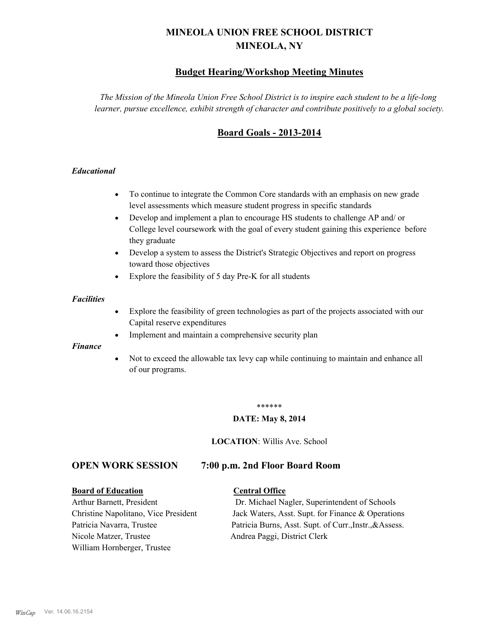# **MINEOLA UNION FREE SCHOOL DISTRICT MINEOLA, NY**

## **Budget Hearing/Workshop Meeting Minutes**

*The Mission of the Mineola Union Free School District is to inspire each student to be a life-long learner, pursue excellence, exhibit strength of character and contribute positively to a global society.*

## **Board Goals - 2013-2014**

#### *Educational*

- · To continue to integrate the Common Core standards with an emphasis on new grade level assessments which measure student progress in specific standards
- · Develop and implement a plan to encourage HS students to challenge AP and/ or College level coursework with the goal of every student gaining this experience before they graduate
- Develop a system to assess the District's Strategic Objectives and report on progress toward those objectives
- · Explore the feasibility of 5 day Pre-K for all students

#### *Facilities*

- · Explore the feasibility of green technologies as part of the projects associated with our Capital reserve expenditures
- Implement and maintain a comprehensive security plan

#### *Finance*

• Not to exceed the allowable tax levy cap while continuing to maintain and enhance all of our programs.

#### \*\*\*\*\*\*

#### **DATE: May 8, 2014**

**LOCATION**: Willis Ave. School

## **OPEN WORK SESSION 7:00 p.m. 2nd Floor Board Room**

#### **Board of Education Central Office**

Nicole Matzer, Trustee Andrea Paggi, District Clerk William Hornberger, Trustee

Arthur Barnett, President Dr. Michael Nagler, Superintendent of Schools Christine Napolitano, Vice President Jack Waters, Asst. Supt. for Finance & Operations Patricia Navarra, Trustee Patricia Burns, Asst. Supt. of Curr., Instr., &Assess.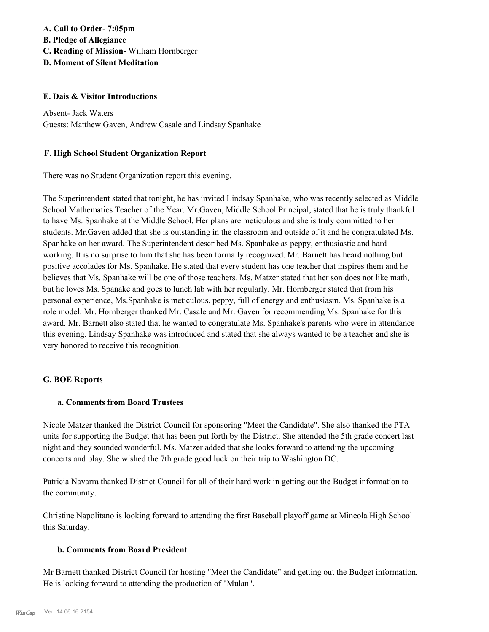## **A. Call to Order- 7:05pm B. Pledge of Allegiance C. Reading of Mission-** William Hornberger **D. Moment of Silent Meditation**

#### **E. Dais & Visitor Introductions**

Absent- Jack Waters Guests: Matthew Gaven, Andrew Casale and Lindsay Spanhake

#### **F. High School Student Organization Report**

There was no Student Organization report this evening.

The Superintendent stated that tonight, he has invited Lindsay Spanhake, who was recently selected as Middle School Mathematics Teacher of the Year. Mr.Gaven, Middle School Principal, stated that he is truly thankful to have Ms. Spanhake at the Middle School. Her plans are meticulous and she is truly committed to her students. Mr.Gaven added that she is outstanding in the classroom and outside of it and he congratulated Ms. Spanhake on her award. The Superintendent described Ms. Spanhake as peppy, enthusiastic and hard working. It is no surprise to him that she has been formally recognized. Mr. Barnett has heard nothing but positive accolades for Ms. Spanhake. He stated that every student has one teacher that inspires them and he believes that Ms. Spanhake will be one of those teachers. Ms. Matzer stated that her son does not like math, but he loves Ms. Spanake and goes to lunch lab with her regularly. Mr. Hornberger stated that from his personal experience, Ms.Spanhake is meticulous, peppy, full of energy and enthusiasm. Ms. Spanhake is a role model. Mr. Hornberger thanked Mr. Casale and Mr. Gaven for recommending Ms. Spanhake for this award. Mr. Barnett also stated that he wanted to congratulate Ms. Spanhake's parents who were in attendance this evening. Lindsay Spanhake was introduced and stated that she always wanted to be a teacher and she is very honored to receive this recognition.

#### **G. BOE Reports**

#### **a. Comments from Board Trustees**

Nicole Matzer thanked the District Council for sponsoring "Meet the Candidate". She also thanked the PTA units for supporting the Budget that has been put forth by the District. She attended the 5th grade concert last night and they sounded wonderful. Ms. Matzer added that she looks forward to attending the upcoming concerts and play. She wished the 7th grade good luck on their trip to Washington DC.

Patricia Navarra thanked District Council for all of their hard work in getting out the Budget information to the community.

Christine Napolitano is looking forward to attending the first Baseball playoff game at Mineola High School this Saturday.

#### **b. Comments from Board President**

Mr Barnett thanked District Council for hosting "Meet the Candidate" and getting out the Budget information. He is looking forward to attending the production of "Mulan".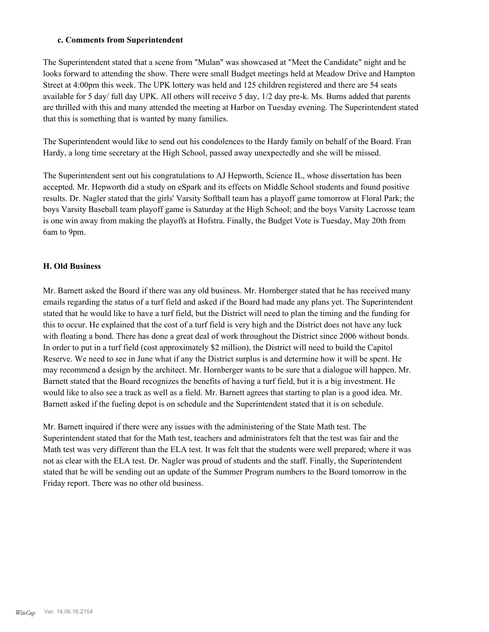#### **c. Comments from Superintendent**

The Superintendent stated that a scene from "Mulan" was showcased at "Meet the Candidate" night and he looks forward to attending the show. There were small Budget meetings held at Meadow Drive and Hampton Street at 4:00pm this week. The UPK lottery was held and 125 children registered and there are 54 seats available for 5 day/ full day UPK. All others will receive 5 day, 1/2 day pre-k. Ms. Burns added that parents are thrilled with this and many attended the meeting at Harbor on Tuesday evening. The Superintendent stated that this is something that is wanted by many families.

The Superintendent would like to send out his condolences to the Hardy family on behalf of the Board. Fran Hardy, a long time secretary at the High School, passed away unexpectedly and she will be missed.

The Superintendent sent out his congratulations to AJ Hepworth, Science IL, whose dissertation has been accepted. Mr. Hepworth did a study on eSpark and its effects on Middle School students and found positive results. Dr. Nagler stated that the girls' Varsity Softball team has a playoff game tomorrow at Floral Park; the boys Varsity Baseball team playoff game is Saturday at the High School; and the boys Varsity Lacrosse team is one win away from making the playoffs at Hofstra. Finally, the Budget Vote is Tuesday, May 20th from 6am to 9pm.

#### **H. Old Business**

Mr. Barnett asked the Board if there was any old business. Mr. Hornberger stated that he has received many emails regarding the status of a turf field and asked if the Board had made any plans yet. The Superintendent stated that he would like to have a turf field, but the District will need to plan the timing and the funding for this to occur. He explained that the cost of a turf field is very high and the District does not have any luck with floating a bond. There has done a great deal of work throughout the District since 2006 without bonds. In order to put in a turf field (cost approximately \$2 million), the District will need to build the Capitol Reserve. We need to see in June what if any the District surplus is and determine how it will be spent. He may recommend a design by the architect. Mr. Hornberger wants to be sure that a dialogue will happen. Mr. Barnett stated that the Board recognizes the benefits of having a turf field, but it is a big investment. He would like to also see a track as well as a field. Mr. Barnett agrees that starting to plan is a good idea. Mr. Barnett asked if the fueling depot is on schedule and the Superintendent stated that it is on schedule.

Mr. Barnett inquired if there were any issues with the administering of the State Math test. The Superintendent stated that for the Math test, teachers and administrators felt that the test was fair and the Math test was very different than the ELA test. It was felt that the students were well prepared; where it was not as clear with the ELA test. Dr. Nagler was proud of students and the staff. Finally, the Superintendent stated that he will be sending out an update of the Summer Program numbers to the Board tomorrow in the Friday report. There was no other old business.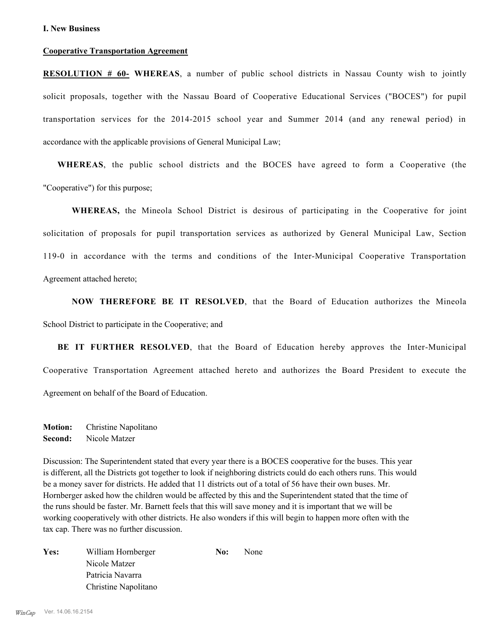#### **Cooperative Transportation Agreement**

**RESOLUTION # 60- WHEREAS**, a number of public school districts in Nassau County wish to jointly solicit proposals, together with the Nassau Board of Cooperative Educational Services ("BOCES") for pupil transportation services for the 2014-2015 school year and Summer 2014 (and any renewal period) in accordance with the applicable provisions of General Municipal Law;

**WHEREAS**, the public school districts and the BOCES have agreed to form a Cooperative (the "Cooperative") for this purpose;

**WHEREAS,** the Mineola School District is desirous of participating in the Cooperative for joint solicitation of proposals for pupil transportation services as authorized by General Municipal Law, Section 119-0 in accordance with the terms and conditions of the Inter-Municipal Cooperative Transportation Agreement attached hereto;

**NOW THEREFORE BE IT RESOLVED**, that the Board of Education authorizes the Mineola School District to participate in the Cooperative; and

**BE IT FURTHER RESOLVED**, that the Board of Education hereby approves the Inter-Municipal Cooperative Transportation Agreement attached hereto and authorizes the Board President to execute the Agreement on behalf of the Board of Education.

**Motion:** Christine Napolitano **Second:** Nicole Matzer

Discussion: The Superintendent stated that every year there is a BOCES cooperative for the buses. This year is different, all the Districts got together to look if neighboring districts could do each others runs. This would be a money saver for districts. He added that 11 districts out of a total of 56 have their own buses. Mr. Hornberger asked how the children would be affected by this and the Superintendent stated that the time of the runs should be faster. Mr. Barnett feels that this will save money and it is important that we will be working cooperatively with other districts. He also wonders if this will begin to happen more often with the tax cap. There was no further discussion.

| Yes: | William Hornberger   | No: | None |
|------|----------------------|-----|------|
|      | Nicole Matzer        |     |      |
|      | Patricia Navarra     |     |      |
|      | Christine Napolitano |     |      |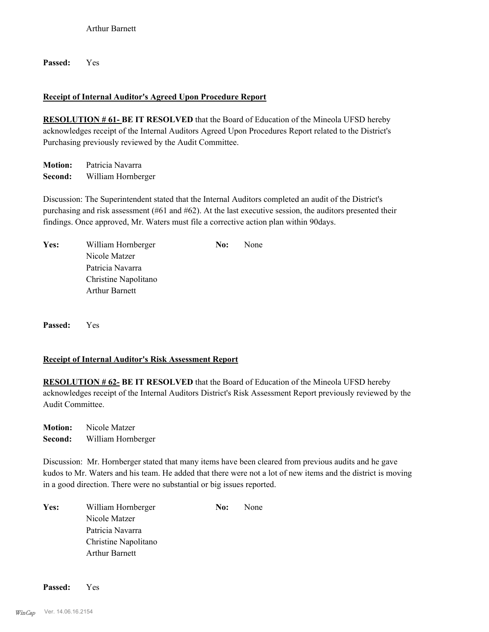**Passed:** Yes

## **Receipt of Internal Auditor's Agreed Upon Procedure Report**

**RESOLUTION # 61- BE IT RESOLVED** that the Board of Education of the Mineola UFSD hereby acknowledges receipt of the Internal Auditors Agreed Upon Procedures Report related to the District's Purchasing previously reviewed by the Audit Committee.

**Motion:** Patricia Navarra **Second:** William Hornberger

Discussion: The Superintendent stated that the Internal Auditors completed an audit of the District's purchasing and risk assessment (#61 and #62). At the last executive session, the auditors presented their findings. Once approved, Mr. Waters must file a corrective action plan within 90days.

| Yes: | William Hornberger    | No: | None |
|------|-----------------------|-----|------|
|      | Nicole Matzer         |     |      |
|      | Patricia Navarra      |     |      |
|      | Christine Napolitano  |     |      |
|      | <b>Arthur Barnett</b> |     |      |
|      |                       |     |      |

**Passed:** Yes

#### **Receipt of Internal Auditor's Risk Assessment Report**

**RESOLUTION # 62- BE IT RESOLVED** that the Board of Education of the Mineola UFSD hereby acknowledges receipt of the Internal Auditors District's Risk Assessment Report previously reviewed by the Audit Committee.

**Motion:** Nicole Matzer **Second:** William Hornberger

Discussion: Mr. Hornberger stated that many items have been cleared from previous audits and he gave kudos to Mr. Waters and his team. He added that there were not a lot of new items and the district is moving in a good direction. There were no substantial or big issues reported.

| Yes: | William Hornberger    | No: | None |
|------|-----------------------|-----|------|
|      | Nicole Matzer         |     |      |
|      | Patricia Navarra      |     |      |
|      | Christine Napolitano  |     |      |
|      | <b>Arthur Barnett</b> |     |      |

**Passed:** Yes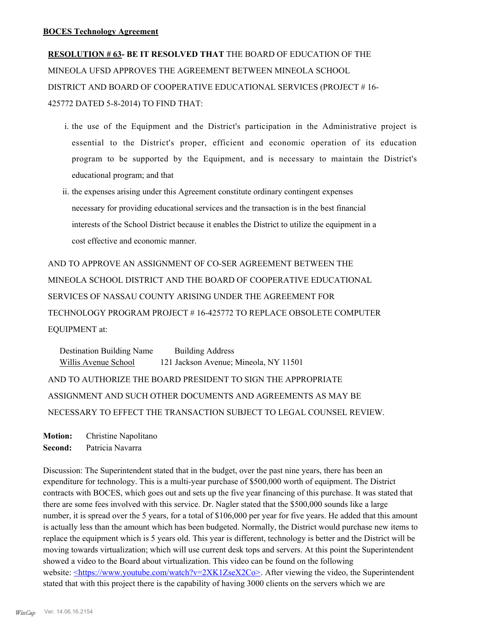**RESOLUTION # 63- BE IT RESOLVED THAT** THE BOARD OF EDUCATION OF THE MINEOLA UFSD APPROVES THE AGREEMENT BETWEEN MINEOLA SCHOOL DISTRICT AND BOARD OF COOPERATIVE EDUCATIONAL SERVICES (PROJECT # 16- 425772 DATED 5-8-2014) TO FIND THAT:

- i. the use of the Equipment and the District's participation in the Administrative project is essential to the District's proper, efficient and economic operation of its education program to be supported by the Equipment, and is necessary to maintain the District's educational program; and that
- ii. the expenses arising under this Agreement constitute ordinary contingent expenses necessary for providing educational services and the transaction is in the best financial interests of the School District because it enables the District to utilize the equipment in a cost effective and economic manner.

AND TO APPROVE AN ASSIGNMENT OF CO-SER AGREEMENT BETWEEN THE MINEOLA SCHOOL DISTRICT AND THE BOARD OF COOPERATIVE EDUCATIONAL SERVICES OF NASSAU COUNTY ARISING UNDER THE AGREEMENT FOR TECHNOLOGY PROGRAM PROJECT # 16-425772 TO REPLACE OBSOLETE COMPUTER EQUIPMENT at:

Destination Building Name Building Address Willis Avenue School 121 Jackson Avenue; Mineola, NY 11501 AND TO AUTHORIZE THE BOARD PRESIDENT TO SIGN THE APPROPRIATE ASSIGNMENT AND SUCH OTHER DOCUMENTS AND AGREEMENTS AS MAY BE NECESSARY TO EFFECT THE TRANSACTION SUBJECT TO LEGAL COUNSEL REVIEW.

**Motion:** Christine Napolitano

**Second:** Patricia Navarra

Discussion: The Superintendent stated that in the budget, over the past nine years, there has been an expenditure for technology. This is a multi-year purchase of \$500,000 worth of equipment. The District contracts with BOCES, which goes out and sets up the five year financing of this purchase. It was stated that there are some fees involved with this service. Dr. Nagler stated that the \$500,000 sounds like a large number, it is spread over the 5 years, for a total of \$106,000 per year for five years. He added that this amount is actually less than the amount which has been budgeted. Normally, the District would purchase new items to replace the equipment which is 5 years old. This year is different, technology is better and the District will be moving towards virtualization; which will use current desk tops and servers. At this point the Superintendent showed a video to the Board about virtualization. This video can be found on the following website: <https://www.youtube.com/watch?v=2XK1ZseX2Co>. After viewing the video, the Superintendent stated that with this project there is the capability of having 3000 clients on the servers which we are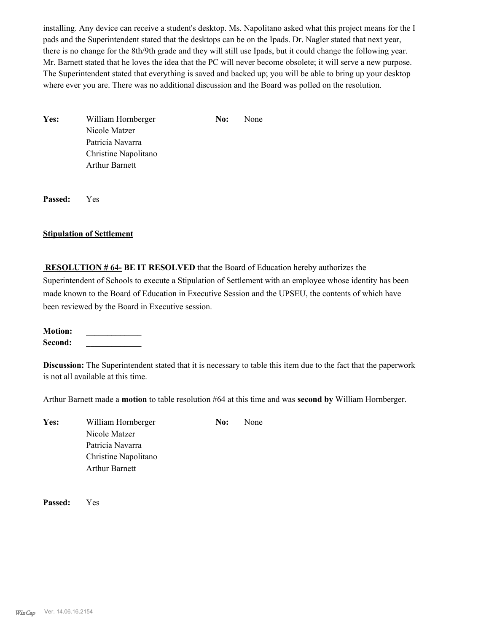installing. Any device can receive a student's desktop. Ms. Napolitano asked what this project means for the I pads and the Superintendent stated that the desktops can be on the Ipads. Dr. Nagler stated that next year, there is no change for the 8th/9th grade and they will still use Ipads, but it could change the following year. Mr. Barnett stated that he loves the idea that the PC will never become obsolete; it will serve a new purpose. The Superintendent stated that everything is saved and backed up; you will be able to bring up your desktop where ever you are. There was no additional discussion and the Board was polled on the resolution.

Yes: William Hornberger **No:** None Nicole Matzer Patricia Navarra Christine Napolitano Arthur Barnett

**Passed:** Yes

#### **Stipulation of Settlement**

 **RESOLUTION # 64- BE IT RESOLVED** that the Board of Education hereby authorizes the Superintendent of Schools to execute a Stipulation of Settlement with an employee whose identity has been made known to the Board of Education in Executive Session and the UPSEU, the contents of which have been reviewed by the Board in Executive session.

**Motion: \_\_\_\_\_\_\_\_\_\_\_\_\_ Second: \_\_\_\_\_\_\_\_\_\_\_\_\_**

**Discussion:** The Superintendent stated that it is necessary to table this item due to the fact that the paperwork is not all available at this time.

Arthur Barnett made a **motion** to table resolution #64 at this time and was **second by** William Hornberger.

Yes: William Hornberger **No:** None Nicole Matzer Patricia Navarra Christine Napolitano Arthur Barnett

**Passed:** Yes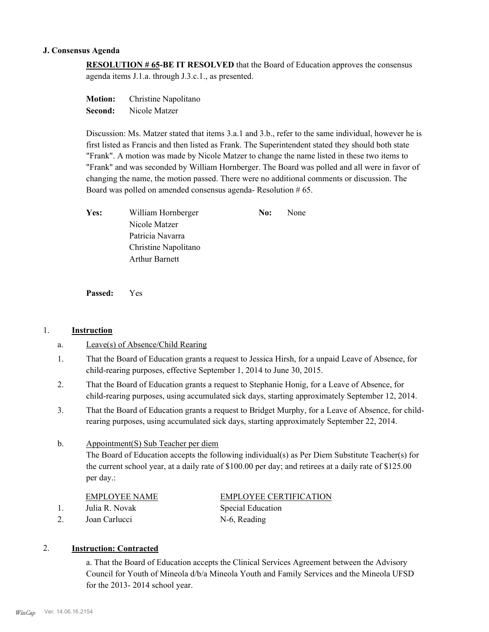#### **J. Consensus Agenda**

**RESOLUTION # 65-BE IT RESOLVED** that the Board of Education approves the consensus agenda items J.1.a. through J.3.c.1., as presented.

**Motion:** Christine Napolitano **Second:** Nicole Matzer

Discussion: Ms. Matzer stated that items 3.a.1 and 3.b., refer to the same individual, however he is first listed as Francis and then listed as Frank. The Superintendent stated they should both state "Frank". A motion was made by Nicole Matzer to change the name listed in these two items to "Frank" and was seconded by William Hornberger. The Board was polled and all were in favor of changing the name, the motion passed. There were no additional comments or discussion. The Board was polled on amended consensus agenda- Resolution # 65.

| Yes: | William Hornberger    | No: | None |
|------|-----------------------|-----|------|
|      | Nicole Matzer         |     |      |
|      | Patricia Navarra      |     |      |
|      | Christine Napolitano  |     |      |
|      | <b>Arthur Barnett</b> |     |      |
|      |                       |     |      |

**Passed:** Yes

#### 1. **Instruction**

- a. Leave(s) of Absence/Child Rearing
- That the Board of Education grants a request to Jessica Hirsh, for a unpaid Leave of Absence, for child-rearing purposes, effective September 1, 2014 to June 30, 2015. 1.
- That the Board of Education grants a request to Stephanie Honig, for a Leave of Absence, for child-rearing purposes, using accumulated sick days, starting approximately September 12, 2014. 2.
- That the Board of Education grants a request to Bridget Murphy, for a Leave of Absence, for childrearing purposes, using accumulated sick days, starting approximately September 22, 2014. 3.

#### Appointment(S) Sub Teacher per diem b.

The Board of Education accepts the following individual(s) as Per Diem Substitute Teacher(s) for the current school year, at a daily rate of \$100.00 per day; and retirees at a daily rate of \$125.00 per day.:

#### EMPLOYEE NAME EMPLOYEE CERTIFICATION

1. Julia R. Novak Special Education

2. Joan Carlucci N-6, Reading

#### 2. **Instruction: Contracted**

a. That the Board of Education accepts the Clinical Services Agreement between the Advisory Council for Youth of Mineola d/b/a Mineola Youth and Family Services and the Mineola UFSD for the 2013- 2014 school year.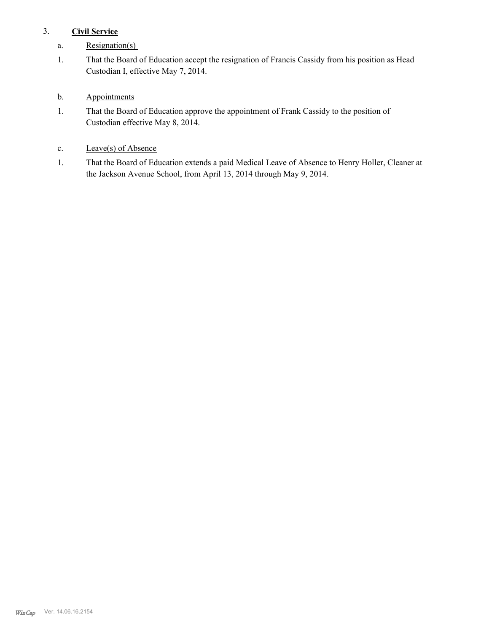## 3. **Civil Service**

- a. Resignation(s)
- That the Board of Education accept the resignation of Francis Cassidy from his position as Head Custodian I, effective May 7, 2014. 1.
- b. Appointments
- That the Board of Education approve the appointment of Frank Cassidy to the position of Custodian effective May 8, 2014. 1.
- c. Leave(s) of Absence
- That the Board of Education extends a paid Medical Leave of Absence to Henry Holler, Cleaner at the Jackson Avenue School, from April 13, 2014 through May 9, 2014. 1.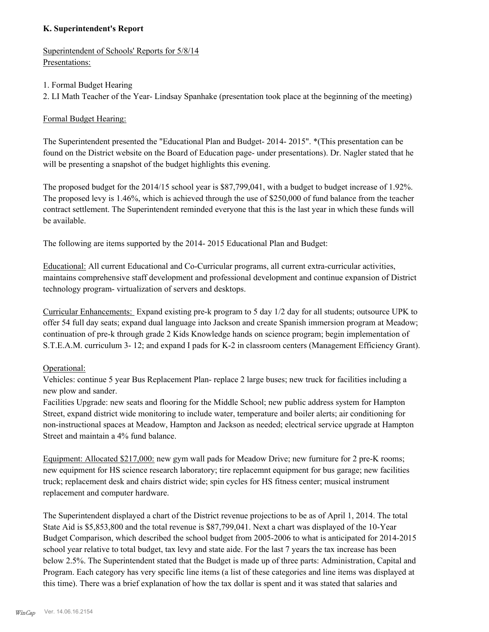## **K. Superintendent's Report**

Superintendent of Schools' Reports for 5/8/14 Presentations:

#### 1. Formal Budget Hearing

2. LI Math Teacher of the Year- Lindsay Spanhake (presentation took place at the beginning of the meeting)

## Formal Budget Hearing:

The Superintendent presented the "Educational Plan and Budget- 2014- 2015". \*(This presentation can be found on the District website on the Board of Education page- under presentations). Dr. Nagler stated that he will be presenting a snapshot of the budget highlights this evening.

The proposed budget for the 2014/15 school year is \$87,799,041, with a budget to budget increase of 1.92%. The proposed levy is 1.46%, which is achieved through the use of \$250,000 of fund balance from the teacher contract settlement. The Superintendent reminded everyone that this is the last year in which these funds will be available.

The following are items supported by the 2014- 2015 Educational Plan and Budget:

Educational: All current Educational and Co-Curricular programs, all current extra-curricular activities, maintains comprehensive staff development and professional development and continue expansion of District technology program- virtualization of servers and desktops.

Curricular Enhancements: Expand existing pre-k program to 5 day 1/2 day for all students; outsource UPK to offer 54 full day seats; expand dual language into Jackson and create Spanish immersion program at Meadow; continuation of pre-k through grade 2 Kids Knowledge hands on science program; begin implementation of S.T.E.A.M. curriculum 3- 12; and expand I pads for K-2 in classroom centers (Management Efficiency Grant).

#### Operational:

Vehicles: continue 5 year Bus Replacement Plan- replace 2 large buses; new truck for facilities including a new plow and sander.

Facilities Upgrade: new seats and flooring for the Middle School; new public address system for Hampton Street, expand district wide monitoring to include water, temperature and boiler alerts; air conditioning for non-instructional spaces at Meadow, Hampton and Jackson as needed; electrical service upgrade at Hampton Street and maintain a 4% fund balance.

Equipment: Allocated \$217,000: new gym wall pads for Meadow Drive; new furniture for 2 pre-K rooms; new equipment for HS science research laboratory; tire replacemnt equipment for bus garage; new facilities truck; replacement desk and chairs district wide; spin cycles for HS fitness center; musical instrument replacement and computer hardware.

The Superintendent displayed a chart of the District revenue projections to be as of April 1, 2014. The total State Aid is \$5,853,800 and the total revenue is \$87,799,041. Next a chart was displayed of the 10-Year Budget Comparison, which described the school budget from 2005-2006 to what is anticipated for 2014-2015 school year relative to total budget, tax levy and state aide. For the last 7 years the tax increase has been below 2.5%. The Superintendent stated that the Budget is made up of three parts: Administration, Capital and Program. Each category has very specific line items (a list of these categories and line items was displayed at this time). There was a brief explanation of how the tax dollar is spent and it was stated that salaries and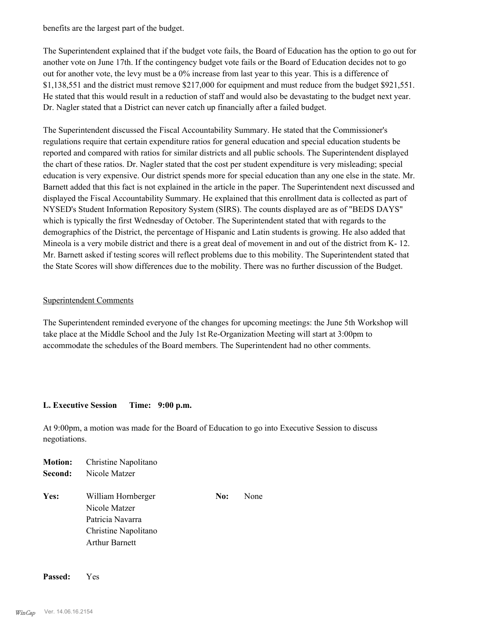benefits are the largest part of the budget.

The Superintendent explained that if the budget vote fails, the Board of Education has the option to go out for another vote on June 17th. If the contingency budget vote fails or the Board of Education decides not to go out for another vote, the levy must be a 0% increase from last year to this year. This is a difference of \$1,138,551 and the district must remove \$217,000 for equipment and must reduce from the budget \$921,551. He stated that this would result in a reduction of staff and would also be devastating to the budget next year. Dr. Nagler stated that a District can never catch up financially after a failed budget.

The Superintendent discussed the Fiscal Accountability Summary. He stated that the Commissioner's regulations require that certain expenditure ratios for general education and special education students be reported and compared with ratios for similar districts and all public schools. The Superintendent displayed the chart of these ratios. Dr. Nagler stated that the cost per student expenditure is very misleading; special education is very expensive. Our district spends more for special education than any one else in the state. Mr. Barnett added that this fact is not explained in the article in the paper. The Superintendent next discussed and displayed the Fiscal Accountability Summary. He explained that this enrollment data is collected as part of NYSED's Student Information Repository System (SIRS). The counts displayed are as of "BEDS DAYS" which is typically the first Wednesday of October. The Superintendent stated that with regards to the demographics of the District, the percentage of Hispanic and Latin students is growing. He also added that Mineola is a very mobile district and there is a great deal of movement in and out of the district from K- 12. Mr. Barnett asked if testing scores will reflect problems due to this mobility. The Superintendent stated that the State Scores will show differences due to the mobility. There was no further discussion of the Budget.

#### Superintendent Comments

The Superintendent reminded everyone of the changes for upcoming meetings: the June 5th Workshop will take place at the Middle School and the July 1st Re-Organization Meeting will start at 3:00pm to accommodate the schedules of the Board members. The Superintendent had no other comments.

#### **L. Executive Session Time: 9:00 p.m.**

At 9:00pm, a motion was made for the Board of Education to go into Executive Session to discuss negotiations.

| <b>Motion:</b> | Christine Napolitano  |     |      |
|----------------|-----------------------|-----|------|
| Second:        | Nicole Matzer         |     |      |
| Yes:           | William Hornberger    | No: | None |
|                | Nicole Matzer         |     |      |
|                | Patricia Navarra      |     |      |
|                | Christine Napolitano  |     |      |
|                | <b>Arthur Barnett</b> |     |      |

**Passed:** Yes